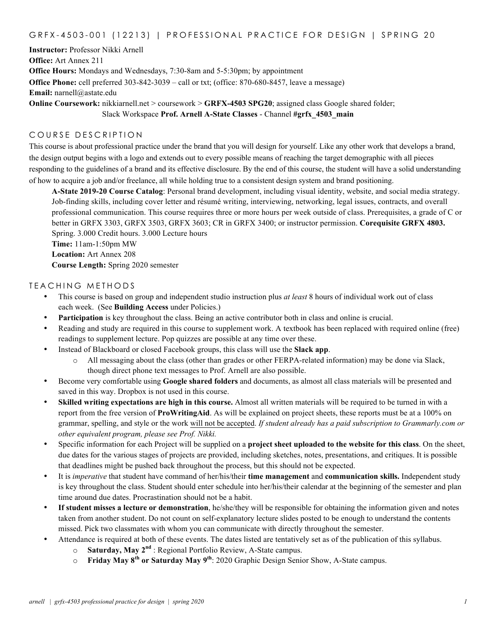## GRFX-4503-001 (12213) | PROFESSIONAL PRACTICE FOR DESIGN | SPRING 20

**Instructor:** Professor Nikki Arnell **Office:** Art Annex 211 **Office Hours:** Mondays and Wednesdays, 7:30-8am and 5-5:30pm; by appointment **Office Phone:** cell preferred 303-842-3039 – call or txt; (office: 870-680-8457, leave a message) **Email:** narnell@astate.edu **Online Coursework:** nikkiarnell.net > coursework > **GRFX-4503 SPG20**; assigned class Google shared folder;

Slack Workspace **Prof. Arnell A-State Classes** - Channel **#grfx\_4503\_main**

### COURSE DESCRIPTION

This course is about professional practice under the brand that you will design for yourself. Like any other work that develops a brand, the design output begins with a logo and extends out to every possible means of reaching the target demographic with all pieces responding to the guidelines of a brand and its effective disclosure. By the end of this course, the student will have a solid understanding of how to acquire a job and/or freelance, all while holding true to a consistent design system and brand positioning.

**A-State 2019-20 Course Catalog**: Personal brand development, including visual identity, website, and social media strategy. Job-finding skills, including cover letter and résumé writing, interviewing, networking, legal issues, contracts, and overall professional communication. This course requires three or more hours per week outside of class. Prerequisites, a grade of C or better in GRFX 3303, GRFX 3503, GRFX 3603; CR in GRFX 3400; or instructor permission. **Corequisite GRFX 4803.** Spring. 3.000 Credit hours. 3.000 Lecture hours **Time:** 11am-1:50pm MW **Location:** Art Annex 208

**Course Length:** Spring 2020 semester

## TEACHING METHODS

- This course is based on group and independent studio instruction plus *at least* 8 hours of individual work out of class each week. (See **Building Access** under Policies.)
- **Participation** is key throughout the class. Being an active contributor both in class and online is crucial.
- Reading and study are required in this course to supplement work. A textbook has been replaced with required online (free) readings to supplement lecture. Pop quizzes are possible at any time over these.
- Instead of Blackboard or closed Facebook groups, this class will use the **Slack app**.
	- o All messaging about the class (other than grades or other FERPA-related information) may be done via Slack, though direct phone text messages to Prof. Arnell are also possible.
- Become very comfortable using **Google shared folders** and documents, as almost all class materials will be presented and saved in this way. Dropbox is not used in this course.
- **Skilled writing expectations are high in this course.** Almost all written materials will be required to be turned in with a report from the free version of **ProWritingAid**. As will be explained on project sheets, these reports must be at a 100% on grammar, spelling, and style or the work will not be accepted. *If student already has a paid subscription to Grammarly.com or other equivalent program, please see Prof. Nikki.*
- Specific information for each Project will be supplied on a **project sheet uploaded to the website for this class**. On the sheet, due dates for the various stages of projects are provided, including sketches, notes, presentations, and critiques. It is possible that deadlines might be pushed back throughout the process, but this should not be expected.
- It is *imperative* that student have command of her/his/their **time management** and **communication skills.** Independent study is key throughout the class. Student should enter schedule into her/his/their calendar at the beginning of the semester and plan time around due dates. Procrastination should not be a habit.
- **If student misses a lecture or demonstration**, he/she/they will be responsible for obtaining the information given and notes taken from another student. Do not count on self-explanatory lecture slides posted to be enough to understand the contents missed. Pick two classmates with whom you can communicate with directly throughout the semester.
- Attendance is required at both of these events. The dates listed are tentatively set as of the publication of this syllabus.
	- o **Saturday, May 2nd** : Regional Portfolio Review, A-State campus.
	- o **Friday May 8th or Saturday May 9th**: 2020 Graphic Design Senior Show, A-State campus.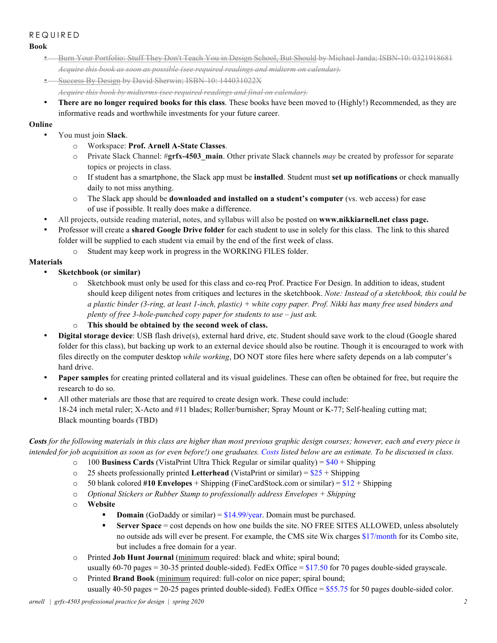# REQUIRED

**Book**

- Burn Your Portfolio: Stuff They Don't Teach You in Design School, But Should by Michael Janda; ISBN-10: 0321918681 *Acquire this book as soon as possible (see required readings and midterm on calendar).*
- **•** Success By Design by David Sherwin; ISBN-10: 144031022X *Acquire this book by midterms (see required readings and final on calendar).*
- **There are no longer required books for this class**. These books have been moved to (Highly!) Recommended, as they are informative reads and worthwhile investments for your future career.

# **Online**

- You must join **Slack**.
	- o Workspace: **Prof. Arnell A-State Classes**.
	- o Private Slack Channel: #**grfx-4503\_main**. Other private Slack channels *may* be created by professor for separate topics or projects in class.
	- o If student has a smartphone, the Slack app must be **installed**. Student must **set up notifications** or check manually daily to not miss anything.
	- o The Slack app should be **downloaded and installed on a student's computer** (vs. web access) for ease of use if possible. It really does make a difference.
- All projects, outside reading material, notes, and syllabus will also be posted on **www.nikkiarnell.net class page.**
- Professor will create a **shared Google Drive folder** for each student to use in solely for this class. The link to this shared folder will be supplied to each student via email by the end of the first week of class.
	- o Student may keep work in progress in the WORKING FILES folder.

# **Materials**

- **Sketchbook (or similar)**
	- o Sketchbook must only be used for this class and co-req Prof. Practice For Design. In addition to ideas, student should keep diligent notes from critiques and lectures in the sketchbook. *Note: Instead of a sketchbook, this could be a plastic binder (3-ring, at least 1-inch, plastic) + white copy paper. Prof. Nikki has many free used binders and plenty of free 3-hole-punched copy paper for students to use – just ask.*
	- o **This should be obtained by the second week of class.**
- **Digital storage device**: USB flash drive(s), external hard drive, etc. Student should save work to the cloud (Google shared folder for this class), but backing up work to an external device should also be routine. Though it is encouraged to work with files directly on the computer desktop *while working*, DO NOT store files here where safety depends on a lab computer's hard drive.
- **Paper samples** for creating printed collateral and its visual guidelines. These can often be obtained for free, but require the research to do so.
- All other materials are those that are required to create design work. These could include: 18-24 inch metal ruler; X-Acto and #11 blades; Roller/burnisher; Spray Mount or K-77; Self-healing cutting mat; Black mounting boards (TBD)

*Costs for the following materials in this class are higher than most previous graphic design courses; however, each and every piece is intended for job acquisition as soon as (or even before!) one graduates. Costs listed below are an estimate. To be discussed in class.*

- o 100 **Business Cards** (VistaPrint Ultra Thick Regular or similar quality) = \$40 + Shipping
- $\circ$  25 sheets professionally printed Letterhead (VistaPrint or similar) =  $$25 + Shipping$
- o 50 blank colored **#10 Envelopes** + Shipping (FineCardStock.com or similar) = \$12 + Shipping
- o *Optional Stickers or Rubber Stamp to professionally address Envelopes + Shipping*
- o **Website**
	- **Domain** (GoDaddy or similar) =  $$14.99$ /year. Domain must be purchased.
	- **•** Server Space = cost depends on how one builds the site. NO FREE SITES ALLOWED, unless absolutely no outside ads will ever be present. For example, the CMS site Wix charges \$17/month for its Combo site, but includes a free domain for a year.
- o Printed **Job Hunt Journal** (minimum required: black and white; spiral bound; usually 60-70 pages = 30-35 printed double-sided). FedEx Office =  $$17.50$  for 70 pages double-sided grayscale.
- o Printed **Brand Book** (minimum required: full-color on nice paper; spiral bound; usually 40-50 pages = 20-25 pages printed double-sided). FedEx Office = \$55.75 for 50 pages double-sided color.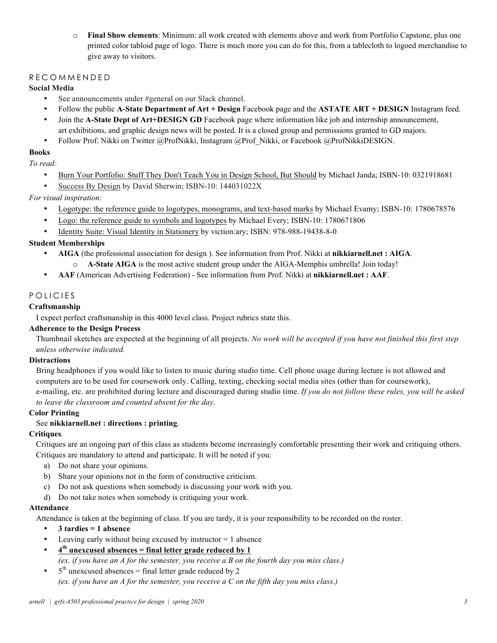o **Final Show elements**: Minimum: all work created with elements above and work from Portfolio Capstone, plus one printed color tabloid page of logo. There is much more you can do for this, from a tablecloth to logoed merchandise to give away to visitors.

## RECOMMENDED

### **Social Media**

- See announcements under #general on our Slack channel.
- Follow the public **A-State Department of Art + Design** Facebook page and the **ASTATE ART + DESIGN** Instagram feed.
- Join the **A-State Dept of Art+DESIGN GD** Facebook page where information like job and internship announcement, art exhibitions, and graphic design news will be posted. It is a closed group and permissions granted to GD majors.
- Follow Prof. Nikki on Twitter @ProfNikki, Instagram @Prof Nikki, or Facebook @ProfNikkiDESIGN.

#### **Books**

*To read:*

- Burn Your Portfolio: Stuff They Don't Teach You in Design School, But Should by Michael Janda; ISBN-10: 0321918681
- Success By Design by David Sherwin; ISBN-10: 144031022X

*For visual inspiration:*

- Logotype: the reference guide to logotypes, monograms, and text-based marks by Michael Evamy; ISBN-10: 1780678576
- Logo: the reference guide to symbols and logotypes by Michael Every; ISBN-10: 1780671806
- Identity Suite: Visual Identity in Stationery by viction:ary; ISBN: 978-988-19438-8-0

## **Student Memberships**

- **AIGA** (the professional association for design ). See information from Prof. Nikki at **nikkiarnell.net : AIGA**.
- A-State AIGA is the most active student group under the AIGA-Memphis umbrella! Join today!
- **AAF** (American Advertising Federation) See information from Prof. Nikki at **nikkiarnell.net : AAF**.

## POLICIES

## **Craftsmanship**

I expect perfect craftsmanship in this 4000 level class. Project rubrics state this.

#### **Adherence to the Design Process**

Thumbnail sketches are expected at the beginning of all projects. *No work will be accepted if you have not finished this first step unless otherwise indicated.* 

#### **Distractions**

Bring headphones if you would like to listen to music during studio time. Cell phone usage during lecture is not allowed and computers are to be used for coursework only. Calling, texting, checking social media sites (other than for coursework), e-mailing, etc. are prohibited during lecture and discouraged during studio time. *If you do not follow these rules, you will be asked to leave the classroom and counted absent for the day.*

#### **Color Printing**

### See **nikkiarnell.net : directions : printing**.

#### **Critiques***.*

Critiques are an ongoing part of this class as students become increasingly comfortable presenting their work and critiquing others. Critiques are mandatory to attend and participate. It will be noted if you:

- a) Do not share your opinions.
- b) Share your opinions not in the form of constructive criticism.
- c) Do not ask questions when somebody is discussing your work with you.
- d) Do not take notes when somebody is critiquing your work.

#### **Attendance**

Attendance is taken at the beginning of class. If you are tardy, it is your responsibility to be recorded on the roster.

- **3 tardies = 1 absence**
- Leaving early without being excused by instructor  $= 1$  absence
- **4th unexcused absences = final letter grade reduced by 1** *(ex. if you have an A for the semester, you receive a B on the fourth day you miss class.)*
- $5<sup>th</sup>$  unexcused absences = final letter grade reduced by 2 *(ex. if you have an A for the semester, you receive a C on the fifth day you miss class.)*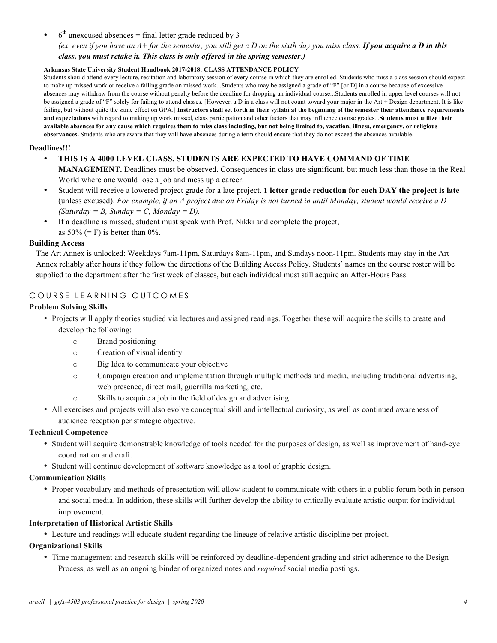$6<sup>th</sup>$  unexcused absences = final letter grade reduced by 3

*(ex. even if you have an A+ for the semester, you still get a D on the sixth day you miss class. If you acquire a D in this class, you must retake it. This class is only offered in the spring semester.)*

#### **Arkansas State University Student Handbook 2017-2018: CLASS ATTENDANCE POLICY**

Students should attend every lecture, recitation and laboratory session of every course in which they are enrolled. Students who miss a class session should expect to make up missed work or receive a failing grade on missed work...Students who may be assigned a grade of "F" [or D] in a course because of excessive absences may withdraw from the course without penalty before the deadline for dropping an individual course...Students enrolled in upper level courses will not be assigned a grade of "F" solely for failing to attend classes. [However, a D in a class will not count toward your major in the Art + Design department. It is like failing, but without quite the same effect on GPA.] Instructors shall set forth in their syllabi at the beginning of the semester their attendance requirements **and expectations** with regard to making up work missed, class participation and other factors that may influence course grades...**Students must utilize their available absences for any cause which requires them to miss class including, but not being limited to, vacation, illness, emergency, or religious observances.** Students who are aware that they will have absences during a term should ensure that they do not exceed the absences available.

#### **Deadlines!!!**

- **THIS IS A 4000 LEVEL CLASS. STUDENTS ARE EXPECTED TO HAVE COMMAND OF TIME MANAGEMENT.** Deadlines must be observed. Consequences in class are significant, but much less than those in the Real World where one would lose a job and mess up a career.
- Student will receive a lowered project grade for a late project. **1 letter grade reduction for each DAY the project is late**  (unless excused). *For example, if an A project due on Friday is not turned in until Monday, student would receive a D*   $(Saturday = B, Sunday = C, Monday = D).$
- If a deadline is missed, student must speak with Prof. Nikki and complete the project, as  $50\%$  (= F) is better than  $0\%$ .

#### **Building Access**

The Art Annex is unlocked: Weekdays 7am-11pm, Saturdays 8am-11pm, and Sundays noon-11pm. Students may stay in the Art Annex reliably after hours if they follow the directions of the Building Access Policy. Students' names on the course roster will be supplied to the department after the first week of classes, but each individual must still acquire an After-Hours Pass.

# COURSE LEARNING OUTCOMES

## **Problem Solving Skills**

- Projects will apply theories studied via lectures and assigned readings. Together these will acquire the skills to create and develop the following:
	- o Brand positioning
	- o Creation of visual identity
	- o Big Idea to communicate your objective
	- o Campaign creation and implementation through multiple methods and media, including traditional advertising, web presence, direct mail, guerrilla marketing, etc.
	- o Skills to acquire a job in the field of design and advertising
- All exercises and projects will also evolve conceptual skill and intellectual curiosity, as well as continued awareness of audience reception per strategic objective.

#### **Technical Competence**

- Student will acquire demonstrable knowledge of tools needed for the purposes of design, as well as improvement of hand-eye coordination and craft.
- Student will continue development of software knowledge as a tool of graphic design.

#### **Communication Skills**

• Proper vocabulary and methods of presentation will allow student to communicate with others in a public forum both in person and social media. In addition, these skills will further develop the ability to critically evaluate artistic output for individual improvement.

#### **Interpretation of Historical Artistic Skills**

• Lecture and readings will educate student regarding the lineage of relative artistic discipline per project.

#### **Organizational Skills**

• Time management and research skills will be reinforced by deadline-dependent grading and strict adherence to the Design Process, as well as an ongoing binder of organized notes and *required* social media postings.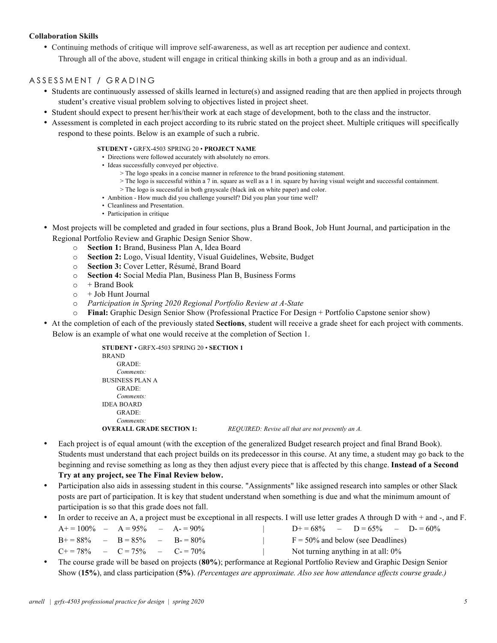#### **Collaboration Skills**

• Continuing methods of critique will improve self-awareness, as well as art reception per audience and context. Through all of the above, student will engage in critical thinking skills in both a group and as an individual.

## ASSESSMENT / GRADING

- Students are continuously assessed of skills learned in lecture(s) and assigned reading that are then applied in projects through student's creative visual problem solving to objectives listed in project sheet.
- Student should expect to present her/his/their work at each stage of development, both to the class and the instructor.
- Assessment is completed in each project according to its rubric stated on the project sheet. Multiple critiques will specifically respond to these points. Below is an example of such a rubric.
	- **STUDENT**  GRFX-4503 SPRING 20 **PROJECT NAME**
		- Directions were followed accurately with absolutely no errors.
		- Ideas successfully conveyed per objective.
			- > The logo speaks in a concise manner in reference to the brand positioning statement.
			- > The logo is successful within a 7 in. square as well as a 1 in. square by having visual weight and successful containment.
			- > The logo is successful in both grayscale (black ink on white paper) and color.
		- Ambition How much did you challenge yourself? Did you plan your time well?
		- Cleanliness and Presentation.
	- Participation in critique
- Most projects will be completed and graded in four sections, plus a Brand Book, Job Hunt Journal, and participation in the Regional Portfolio Review and Graphic Design Senior Show.
	- o **Section 1:** Brand, Business Plan A, Idea Board
	- o **Section 2:** Logo, Visual Identity, Visual Guidelines, Website, Budget
	- o **Section 3:** Cover Letter, Résumé, Brand Board
	- o **Section 4:** Social Media Plan, Business Plan B, Business Forms
	- $\circ$  + Brand Book
	- $\circ +$  Job Hunt Journal
	- o *Participation in Spring 2020 Regional Portfolio Review at A-State*
	- o **Final:** Graphic Design Senior Show (Professional Practice For Design + Portfolio Capstone senior show)
- At the completion of each of the previously stated **Sections**, student will receive a grade sheet for each project with comments. Below is an example of what one would receive at the completion of Section 1.

| <b>STUDENT</b> $\cdot$ GRFX-4503 SPRING 20 $\cdot$ SECTION 1 |                                                   |
|--------------------------------------------------------------|---------------------------------------------------|
| <b>BRAND</b>                                                 |                                                   |
| GRADE:                                                       |                                                   |
| Comments:                                                    |                                                   |
| <b>BUSINESS PLAN A</b>                                       |                                                   |
| GRADE:                                                       |                                                   |
| Comments:                                                    |                                                   |
| <b>IDEA BOARD</b>                                            |                                                   |
| GRADE:                                                       |                                                   |
| Comments:                                                    |                                                   |
| <b>OVERALL GRADE SECTION 1:</b>                              | REQUIRED: Revise all that are not presently an A. |
|                                                              |                                                   |

- Each project is of equal amount (with the exception of the generalized Budget research project and final Brand Book). Students must understand that each project builds on its predecessor in this course. At any time, a student may go back to the beginning and revise something as long as they then adjust every piece that is affected by this change. **Instead of a Second Try at any project, see The Final Review below.**
- Participation also aids in assessing student in this course. "Assignments" like assigned research into samples or other Slack posts are part of participation. It is key that student understand when something is due and what the minimum amount of participation is so that this grade does not fall.
- In order to receive an A, a project must be exceptional in all respects. I will use letter grades A through D with + and -, and F.

| $A+=100\%$ $ A=95\%$ $ A=90\%$                 |  |  | $D+ = 68\%$ $ D = 65\%$ $ D = 60\%$  |  |  |  |  |
|------------------------------------------------|--|--|--------------------------------------|--|--|--|--|
| $B+=88\%$ $ B=85\%$ $ B=80\%$                  |  |  | $F = 50\%$ and below (see Deadlines) |  |  |  |  |
| $C_{\pm} = 78\%$ $ C = 75\%$ $ C_{\pm} = 70\%$ |  |  | Not turning anything in at all: 0%   |  |  |  |  |

• The course grade will be based on projects (**80%**); performance at Regional Portfolio Review and Graphic Design Senior Show (**15%**), and class participation (**5%**). *(Percentages are approximate. Also see how attendance affects course grade.)*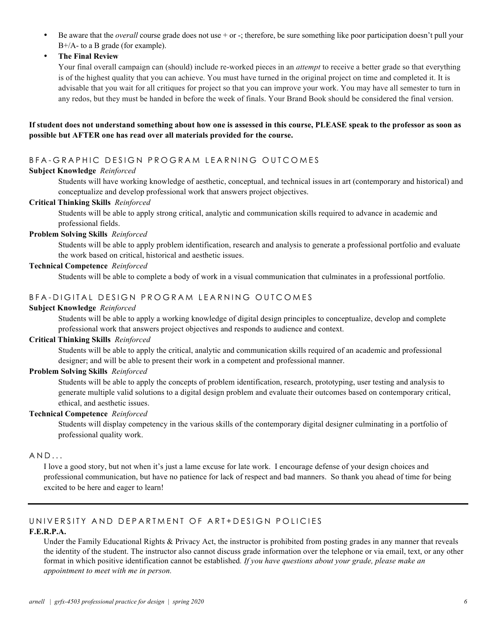- Be aware that the *overall* course grade does not use + or -; therefore, be sure something like poor participation doesn't pull your B+/A- to a B grade (for example).
- **The Final Review**

Your final overall campaign can (should) include re-worked pieces in an *attempt* to receive a better grade so that everything is of the highest quality that you can achieve. You must have turned in the original project on time and completed it. It is advisable that you wait for all critiques for project so that you can improve your work. You may have all semester to turn in any redos, but they must be handed in before the week of finals. Your Brand Book should be considered the final version.

### **If student does not understand something about how one is assessed in this course, PLEASE speak to the professor as soon as possible but AFTER one has read over all materials provided for the course.**

# BFA - GRAPHIC DESIGN PROGRAM LEARNING OUTCOMES

## **Subject Knowledge** *Reinforced*

Students will have working knowledge of aesthetic, conceptual, and technical issues in art (contemporary and historical) and conceptualize and develop professional work that answers project objectives.

#### **Critical Thinking Skills** *Reinforced*

Students will be able to apply strong critical, analytic and communication skills required to advance in academic and professional fields.

#### **Problem Solving Skills** *Reinforced*

Students will be able to apply problem identification, research and analysis to generate a professional portfolio and evaluate the work based on critical, historical and aesthetic issues.

#### **Technical Competence** *Reinforced*

Students will be able to complete a body of work in a visual communication that culminates in a professional portfolio.

# BFA - DIGITAL DESIGN PROGRAM LEARNING OUTCOMES

#### **Subject Knowledge** *Reinforced*

Students will be able to apply a working knowledge of digital design principles to conceptualize, develop and complete professional work that answers project objectives and responds to audience and context.

## **Critical Thinking Skills** *Reinforced*

Students will be able to apply the critical, analytic and communication skills required of an academic and professional designer; and will be able to present their work in a competent and professional manner.

#### **Problem Solving Skills** *Reinforced*

Students will be able to apply the concepts of problem identification, research, prototyping, user testing and analysis to generate multiple valid solutions to a digital design problem and evaluate their outcomes based on contemporary critical, ethical, and aesthetic issues.

#### **Technical Competence** *Reinforced*

Students will display competency in the various skills of the contemporary digital designer culminating in a portfolio of professional quality work.

## $AND...$

I love a good story, but not when it's just a lame excuse for late work. I encourage defense of your design choices and professional communication, but have no patience for lack of respect and bad manners. So thank you ahead of time for being excited to be here and eager to learn!

# UNIVERSITY AND DEPARTMENT OF ART+DESIGN POLICIES

#### **F.E.R.P.A.**

Under the Family Educational Rights & Privacy Act, the instructor is prohibited from posting grades in any manner that reveals the identity of the student. The instructor also cannot discuss grade information over the telephone or via email, text, or any other format in which positive identification cannot be established*. If you have questions about your grade, please make an appointment to meet with me in person.*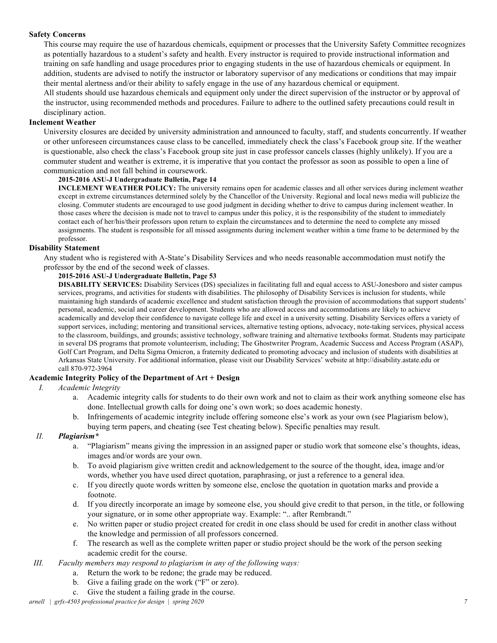#### **Safety Concerns**

This course may require the use of hazardous chemicals, equipment or processes that the University Safety Committee recognizes as potentially hazardous to a student's safety and health. Every instructor is required to provide instructional information and training on safe handling and usage procedures prior to engaging students in the use of hazardous chemicals or equipment. In addition, students are advised to notify the instructor or laboratory supervisor of any medications or conditions that may impair their mental alertness and/or their ability to safely engage in the use of any hazardous chemical or equipment.

All students should use hazardous chemicals and equipment only under the direct supervision of the instructor or by approval of the instructor, using recommended methods and procedures. Failure to adhere to the outlined safety precautions could result in disciplinary action.

#### **Inclement Weather**

University closures are decided by university administration and announced to faculty, staff, and students concurrently. If weather or other unforeseen circumstances cause class to be cancelled, immediately check the class's Facebook group site. If the weather is questionable, also check the class's Facebook group site just in case professor cancels classes (highly unlikely). If you are a commuter student and weather is extreme, it is imperative that you contact the professor as soon as possible to open a line of communication and not fall behind in coursework.

#### **2015-2016 ASU-J Undergraduate Bulletin, Page 14**

**INCLEMENT WEATHER POLICY:** The university remains open for academic classes and all other services during inclement weather except in extreme circumstances determined solely by the Chancellor of the University. Regional and local news media will publicize the closing. Commuter students are encouraged to use good judgment in deciding whether to drive to campus during inclement weather. In those cases where the decision is made not to travel to campus under this policy, it is the responsibility of the student to immediately contact each of her/his/their professors upon return to explain the circumstances and to determine the need to complete any missed assignments. The student is responsible for all missed assignments during inclement weather within a time frame to be determined by the professor.

#### **Disability Statement**

Any student who is registered with A-State's Disability Services and who needs reasonable accommodation must notify the professor by the end of the second week of classes.

#### **2015-2016 ASU-J Undergraduate Bulletin, Page 53**

**DISABILITY SERVICES:** Disability Services (DS) specializes in facilitating full and equal access to ASU-Jonesboro and sister campus services, programs, and activities for students with disabilities. The philosophy of Disability Services is inclusion for students, while maintaining high standards of academic excellence and student satisfaction through the provision of accommodations that support students' personal, academic, social and career development. Students who are allowed access and accommodations are likely to achieve academically and develop their confidence to navigate college life and excel in a university setting. Disability Services offers a variety of support services, including; mentoring and transitional services, alternative testing options, advocacy, note-taking services, physical access to the classroom, buildings, and grounds; assistive technology, software training and alternative textbooks format. Students may participate in several DS programs that promote volunteerism, including; The Ghostwriter Program, Academic Success and Access Program (ASAP), Golf Cart Program, and Delta Sigma Omicron, a fraternity dedicated to promoting advocacy and inclusion of students with disabilities at Arkansas State University. For additional information, please visit our Disability Services' website at http://disability.astate.edu or call 870-972-3964

#### **Academic Integrity Policy of the Department of Art + Design**

- *I. Academic Integrity*
	- a. Academic integrity calls for students to do their own work and not to claim as their work anything someone else has done. Intellectual growth calls for doing one's own work; so does academic honesty.
	- b. Infringements of academic integrity include offering someone else's work as your own (see Plagiarism below), buying term papers, and cheating (see Test cheating below). Specific penalties may result.

#### *II. Plagiarism\**

- a. "Plagiarism" means giving the impression in an assigned paper or studio work that someone else's thoughts, ideas, images and/or words are your own.
- b. To avoid plagiarism give written credit and acknowledgement to the source of the thought, idea, image and/or words, whether you have used direct quotation, paraphrasing, or just a reference to a general idea.
- c. If you directly quote words written by someone else, enclose the quotation in quotation marks and provide a footnote.
- d. If you directly incorporate an image by someone else, you should give credit to that person, in the title, or following your signature, or in some other appropriate way. Example: ".. after Rembrandt."
- e. No written paper or studio project created for credit in one class should be used for credit in another class without the knowledge and permission of all professors concerned.
- f. The research as well as the complete written paper or studio project should be the work of the person seeking academic credit for the course.
- *III. Faculty members may respond to plagiarism in any of the following ways:*
	- a. Return the work to be redone; the grade may be reduced.
	- b. Give a failing grade on the work ("F" or zero).
	- c. Give the student a failing grade in the course.

*arnell | grfx-4503 professional practice for design | spring 2020 7*